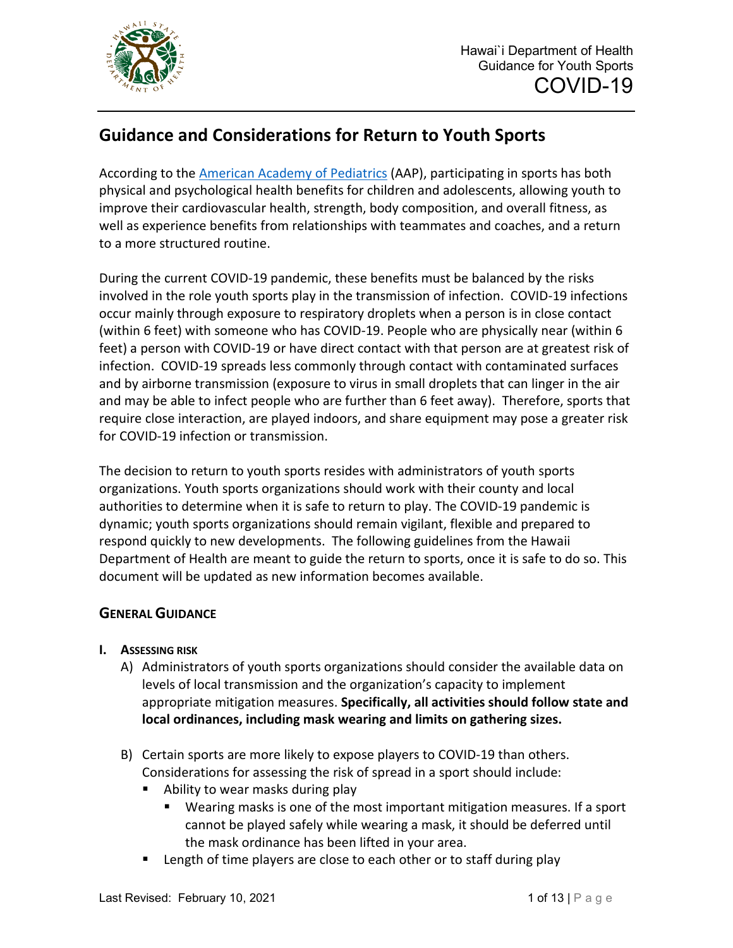

# **Guidance and Considerations for Return to Youth Sports**

According to the [American Academy of Pediatrics](https://services.aap.org/en/pages/2019-novel-coronavirus-covid-19-infections/clinical-guidance/covid-19-interim-guidance-return-to-sports/) (AAP), participating in sports has both physical and psychological health benefits for children and adolescents, allowing youth to improve their cardiovascular health, strength, body composition, and overall fitness, as well as experience benefits from relationships with teammates and coaches, and a return to a more structured routine.

During the current COVID-19 pandemic, these benefits must be balanced by the risks involved in the role youth sports play in the transmission of infection. COVID-19 infections occur mainly through exposure to respiratory droplets when a person is in close contact (within 6 feet) with someone who has COVID-19. People who are physically near (within 6 feet) a person with COVID-19 or have direct contact with that person are at greatest risk of infection. COVID-19 spreads less commonly through contact with contaminated surfaces and by airborne transmission (exposure to virus in small droplets that can linger in the air and may be able to infect people who are further than 6 feet away). Therefore, sports that require close interaction, are played indoors, and share equipment may pose a greater risk for COVID-19 infection or transmission.

The decision to return to youth sports resides with administrators of youth sports organizations. Youth sports organizations should work with their county and local authorities to determine when it is safe to return to play. The COVID-19 pandemic is dynamic; youth sports organizations should remain vigilant, flexible and prepared to respond quickly to new developments. The following guidelines from the Hawaii Department of Health are meant to guide the return to sports, once it is safe to do so. This document will be updated as new information becomes available.

## **GENERAL GUIDANCE**

- **I. ASSESSING RISK**
	- A) Administrators of youth sports organizations should consider the available data on levels of local transmission and the organization's capacity to implement appropriate mitigation measures. **Specifically, all activities should follow state and local ordinances, including mask wearing and limits on gathering sizes.**
	- B) Certain sports are more likely to expose players to COVID-19 than others. Considerations for assessing the risk of spread in a sport should include:
		- **Ability to wear masks during play** 
			- Wearing masks is one of the most important mitigation measures. If a sport cannot be played safely while wearing a mask, it should be deferred until the mask ordinance has been lifted in your area.
		- **EXTERGH** Length of time players are close to each other or to staff during play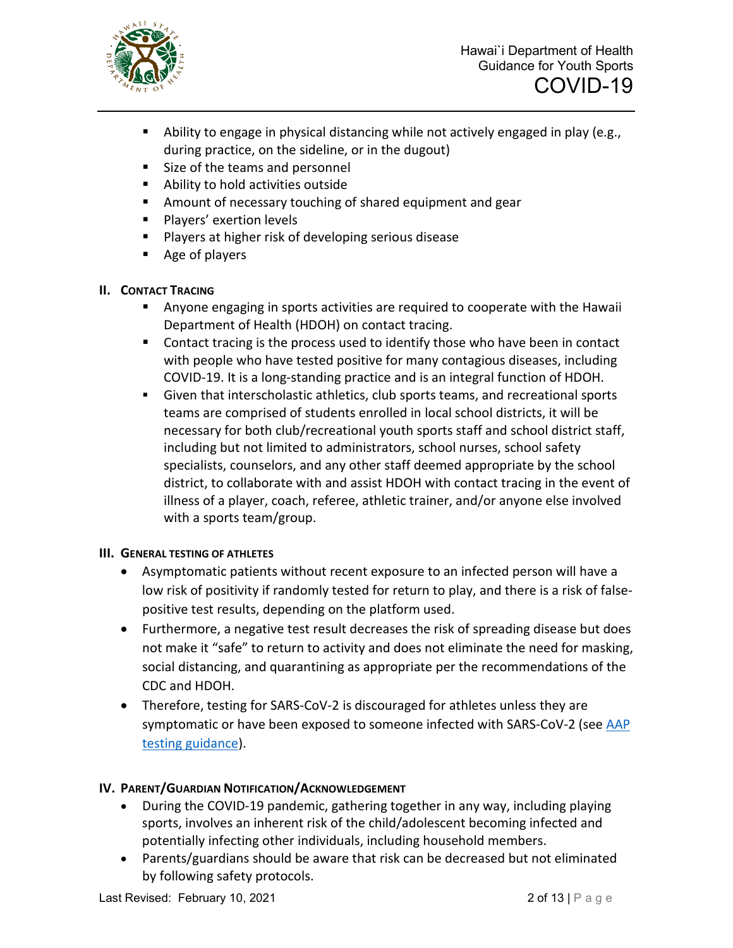

- Ability to engage in physical distancing while not actively engaged in play (e.g., during practice, on the sideline, or in the dugout)
- Size of the teams and personnel
- Ability to hold activities outside
- Amount of necessary touching of shared equipment and gear
- **Players' exertion levels**
- **Players at higher risk of developing serious disease**
- Age of players
- **II. CONTACT TRACING**
	- Anyone engaging in sports activities are required to cooperate with the Hawaii Department of Health (HDOH) on contact tracing.
	- Contact tracing is the process used to identify those who have been in contact with people who have tested positive for many contagious diseases, including COVID-19. It is a long-standing practice and is an integral function of HDOH.
	- Given that interscholastic athletics, club sports teams, and recreational sports teams are comprised of students enrolled in local school districts, it will be necessary for both club/recreational youth sports staff and school district staff, including but not limited to administrators, school nurses, school safety specialists, counselors, and any other staff deemed appropriate by the school district, to collaborate with and assist HDOH with contact tracing in the event of illness of a player, coach, referee, athletic trainer, and/or anyone else involved with a sports team/group.

## **III. GENERAL TESTING OF ATHLETES**

- Asymptomatic patients without recent exposure to an infected person will have a low risk of positivity if randomly tested for return to play, and there is a risk of falsepositive test results, depending on the platform used.
- Furthermore, a negative test result decreases the risk of spreading disease but does not make it "safe" to return to activity and does not eliminate the need for masking, social distancing, and quarantining as appropriate per the recommendations of the CDC and HDOH.
- Therefore, testing for SARS-CoV-2 is discouraged for athletes unless they are symptomatic or have been exposed to someone infected with SARS-CoV-2 (see AAP [testing guidance\)](https://services.aap.org/en/pages/2019-novel-coronavirus-covid-19-infections/clinical-guidance/covid-19-testing-guidance/).

## **IV. PARENT/GUARDIAN NOTIFICATION/ACKNOWLEDGEMENT**

- During the COVID-19 pandemic, gathering together in any way, including playing sports, involves an inherent risk of the child/adolescent becoming infected and potentially infecting other individuals, including household members.
- Parents/guardians should be aware that risk can be decreased but not eliminated by following safety protocols.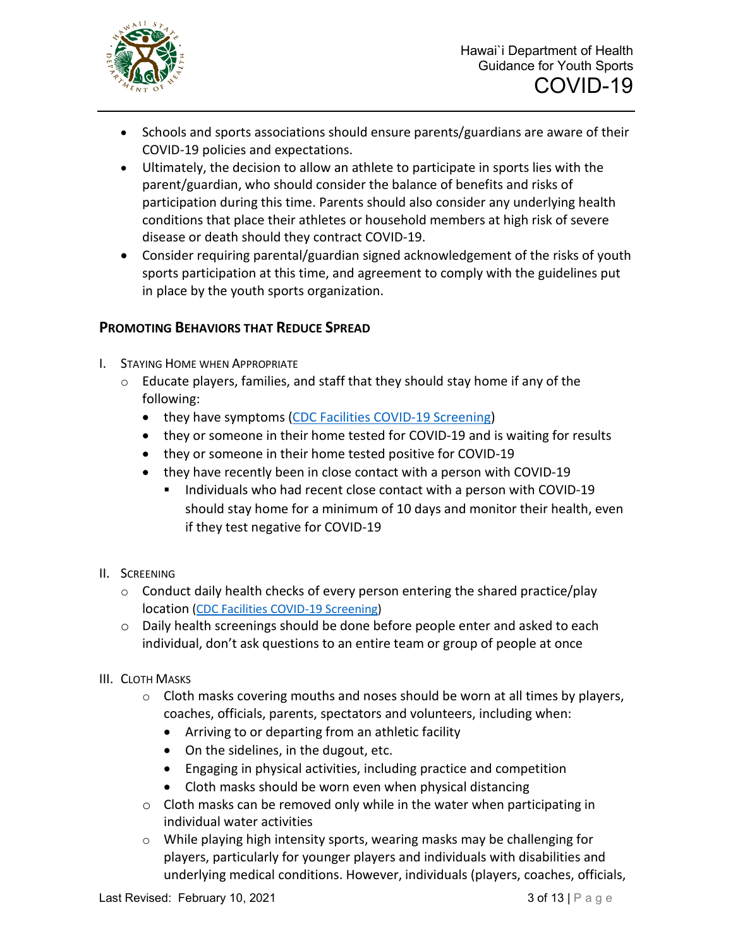

- Schools and sports associations should ensure parents/guardians are aware of their COVID-19 policies and expectations.
- Ultimately, the decision to allow an athlete to participate in sports lies with the parent/guardian, who should consider the balance of benefits and risks of participation during this time. Parents should also consider any underlying health conditions that place their athletes or household members at high risk of severe disease or death should they contract COVID-19.
- Consider requiring parental/guardian signed acknowledgement of the risks of youth sports participation at this time, and agreement to comply with the guidelines put in place by the youth sports organization.

## **PROMOTING BEHAVIORS THAT REDUCE SPREAD**

- I. STAYING HOME WHEN APPROPRIATE
	- o Educate players, families, and staff that they should stay home if any of the following:
		- they have symptoms [\(CDC Facilities COVID-19 Screening\)](https://www.cdc.gov/screening/index.html)
		- they or someone in their home tested for COVID-19 and is waiting for results
		- they or someone in their home tested positive for COVID-19
		- they have recently been in close contact with a person with COVID-19
			- Individuals who had recent close contact with a person with COVID-19 should stay home for a minimum of 10 days and monitor their health, even if they test negative for COVID-19

## II. SCREENING

- o Conduct daily health checks of every person entering the shared practice/play location [\(CDC Facilities COVID-19 Screening\)](https://www.cdc.gov/screening/index.html)
- $\circ$  Daily health screenings should be done before people enter and asked to each individual, don't ask questions to an entire team or group of people at once

## III. CLOTH MASKS

- $\circ$  Cloth masks covering mouths and noses should be worn at all times by players, coaches, officials, parents, spectators and volunteers, including when:
	- Arriving to or departing from an athletic facility
	- On the sidelines, in the dugout, etc.
	- Engaging in physical activities, including practice and competition
	- Cloth masks should be worn even when physical distancing
- $\circ$  Cloth masks can be removed only while in the water when participating in individual water activities
- $\circ$  While playing high intensity sports, wearing masks may be challenging for players, particularly for younger players and individuals with disabilities and underlying medical conditions. However, individuals (players, coaches, officials,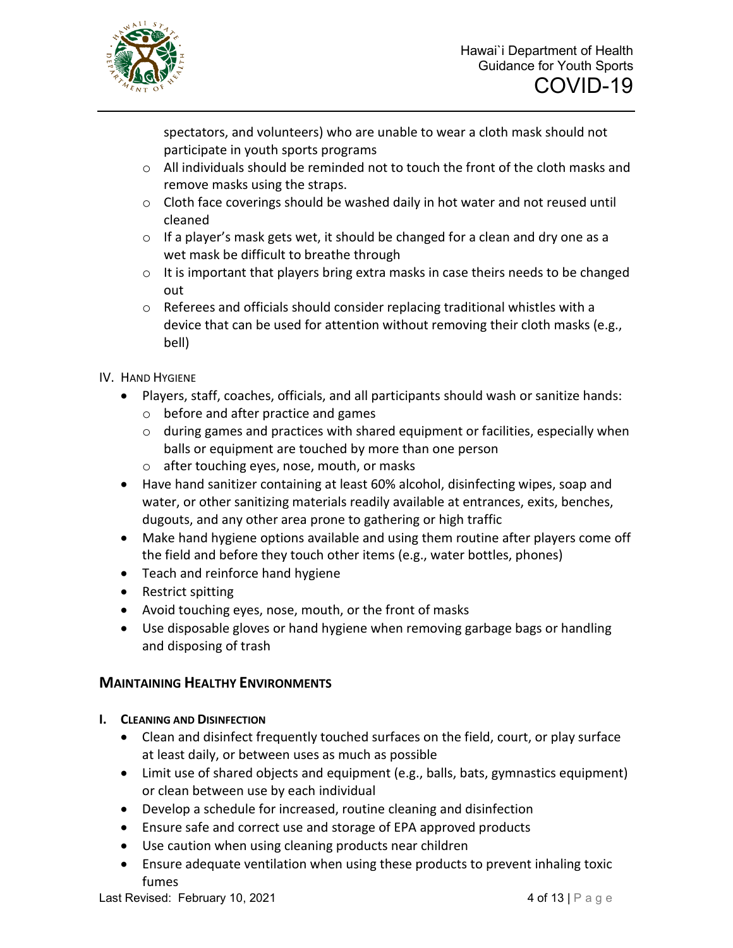

spectators, and volunteers) who are unable to wear a cloth mask should not participate in youth sports programs

- $\circ$  All individuals should be reminded not to touch the front of the cloth masks and remove masks using the straps.
- o Cloth face coverings should be washed daily in hot water and not reused until cleaned
- $\circ$  If a player's mask gets wet, it should be changed for a clean and dry one as a wet mask be difficult to breathe through
- o It is important that players bring extra masks in case theirs needs to be changed out
- o Referees and officials should consider replacing traditional whistles with a device that can be used for attention without removing their cloth masks (e.g., bell)
- IV. HAND HYGIENE
	- Players, staff, coaches, officials, and all participants should wash or sanitize hands:
		- o before and after practice and games
		- o during games and practices with shared equipment or facilities, especially when balls or equipment are touched by more than one person
		- o after touching eyes, nose, mouth, or masks
	- Have hand sanitizer containing at least 60% alcohol, disinfecting wipes, soap and water, or other sanitizing materials readily available at entrances, exits, benches, dugouts, and any other area prone to gathering or high traffic
	- Make hand hygiene options available and using them routine after players come off the field and before they touch other items (e.g., water bottles, phones)
	- Teach and reinforce hand hygiene
	- Restrict spitting
	- Avoid touching eyes, nose, mouth, or the front of masks
	- Use disposable gloves or hand hygiene when removing garbage bags or handling and disposing of trash

## **MAINTAINING HEALTHY ENVIRONMENTS**

- **I. CLEANING AND DISINFECTION**
	- Clean and disinfect frequently touched surfaces on the field, court, or play surface at least daily, or between uses as much as possible
	- Limit use of shared objects and equipment (e.g., balls, bats, gymnastics equipment) or clean between use by each individual
	- Develop a schedule for increased, routine cleaning and disinfection
	- Ensure safe and correct use and storage of EPA approved products
	- Use caution when using cleaning products near children
	- Ensure adequate ventilation when using these products to prevent inhaling toxic fumes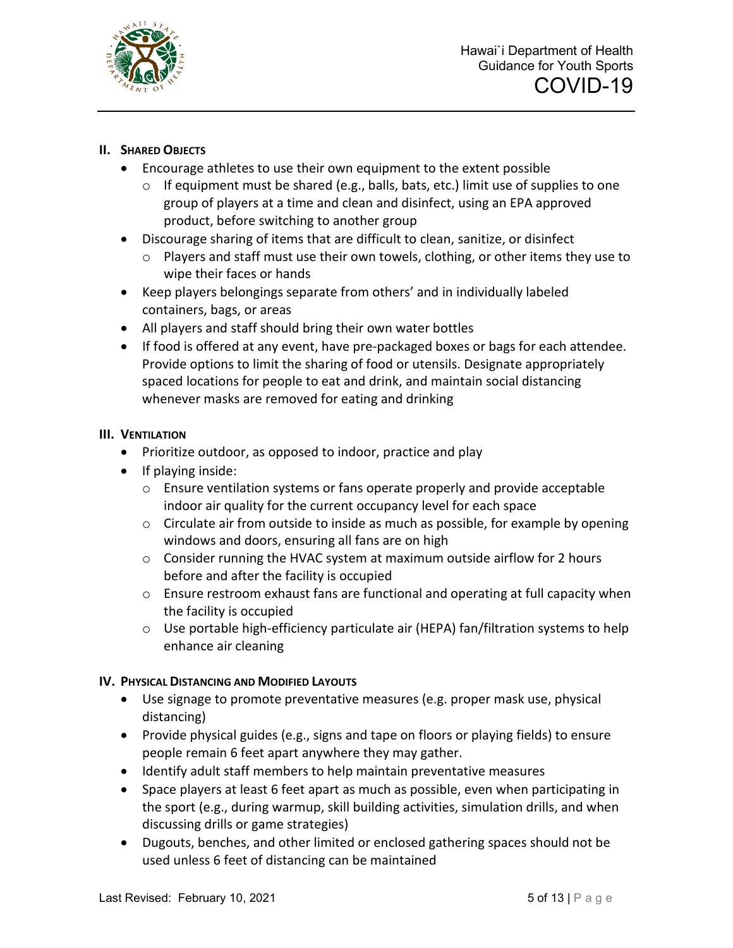

## **II. SHARED OBJECTS**

- Encourage athletes to use their own equipment to the extent possible
	- $\circ$  If equipment must be shared (e.g., balls, bats, etc.) limit use of supplies to one group of players at a time and clean and disinfect, using an EPA approved product, before switching to another group
- Discourage sharing of items that are difficult to clean, sanitize, or disinfect
	- o Players and staff must use their own towels, clothing, or other items they use to wipe their faces or hands
- Keep players belongings separate from others' and in individually labeled containers, bags, or areas
- All players and staff should bring their own water bottles
- If food is offered at any event, have pre-packaged boxes or bags for each attendee. Provide options to limit the sharing of food or utensils. Designate appropriately spaced locations for people to eat and drink, and maintain social distancing whenever masks are removed for eating and drinking

## **III. VENTILATION**

- Prioritize outdoor, as opposed to indoor, practice and play
- If playing inside:
	- $\circ$  Ensure ventilation systems or fans operate properly and provide acceptable indoor air quality for the current occupancy level for each space
	- $\circ$  Circulate air from outside to inside as much as possible, for example by opening windows and doors, ensuring all fans are on high
	- $\circ$  Consider running the HVAC system at maximum outside airflow for 2 hours before and after the facility is occupied
	- $\circ$  Ensure restroom exhaust fans are functional and operating at full capacity when the facility is occupied
	- o Use portable high-efficiency particulate air (HEPA) fan/filtration systems to help enhance air cleaning

## **IV. PHYSICAL DISTANCING AND MODIFIED LAYOUTS**

- Use signage to promote preventative measures (e.g. proper mask use, physical distancing)
- Provide physical guides (e.g., signs and tape on floors or playing fields) to ensure people remain 6 feet apart anywhere they may gather.
- Identify adult staff members to help maintain preventative measures
- Space players at least 6 feet apart as much as possible, even when participating in the sport (e.g., during warmup, skill building activities, simulation drills, and when discussing drills or game strategies)
- Dugouts, benches, and other limited or enclosed gathering spaces should not be used unless 6 feet of distancing can be maintained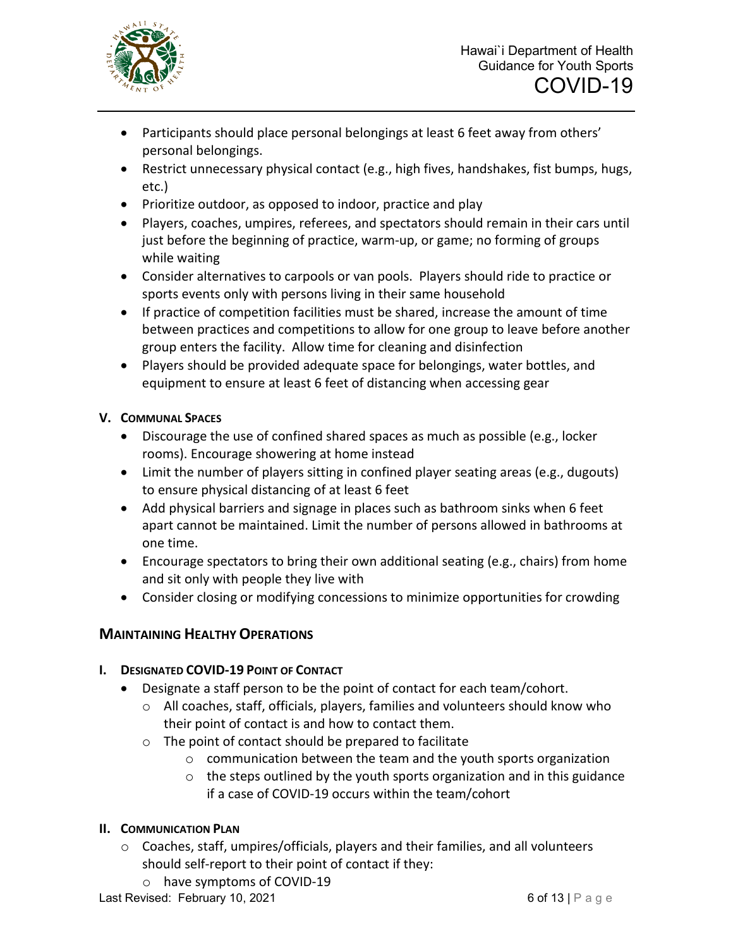

- Participants should place personal belongings at least 6 feet away from others' personal belongings.
- Restrict unnecessary physical contact (e.g., high fives, handshakes, fist bumps, hugs, etc.)
- Prioritize outdoor, as opposed to indoor, practice and play
- Players, coaches, umpires, referees, and spectators should remain in their cars until just before the beginning of practice, warm-up, or game; no forming of groups while waiting
- Consider alternatives to carpools or van pools. Players should ride to practice or sports events only with persons living in their same household
- If practice of competition facilities must be shared, increase the amount of time between practices and competitions to allow for one group to leave before another group enters the facility. Allow time for cleaning and disinfection
- Players should be provided adequate space for belongings, water bottles, and equipment to ensure at least 6 feet of distancing when accessing gear

## **V. COMMUNAL SPACES**

- Discourage the use of confined shared spaces as much as possible (e.g., locker rooms). Encourage showering at home instead
- Limit the number of players sitting in confined player seating areas (e.g., dugouts) to ensure physical distancing of at least 6 feet
- Add physical barriers and signage in places such as bathroom sinks when 6 feet apart cannot be maintained. Limit the number of persons allowed in bathrooms at one time.
- Encourage spectators to bring their own additional seating (e.g., chairs) from home and sit only with people they live with
- Consider closing or modifying concessions to minimize opportunities for crowding

## **MAINTAINING HEALTHY OPERATIONS**

## **I. DESIGNATED COVID-19 POINT OF CONTACT**

- Designate a staff person to be the point of contact for each team/cohort.
	- $\circ$  All coaches, staff, officials, players, families and volunteers should know who their point of contact is and how to contact them.
	- o The point of contact should be prepared to facilitate
		- o communication between the team and the youth sports organization
		- $\circ$  the steps outlined by the youth sports organization and in this guidance if a case of COVID-19 occurs within the team/cohort

## **II. COMMUNICATION PLAN**

- o Coaches, staff, umpires/officials, players and their families, and all volunteers should self-report to their point of contact if they:
	- o have symptoms of COVID-19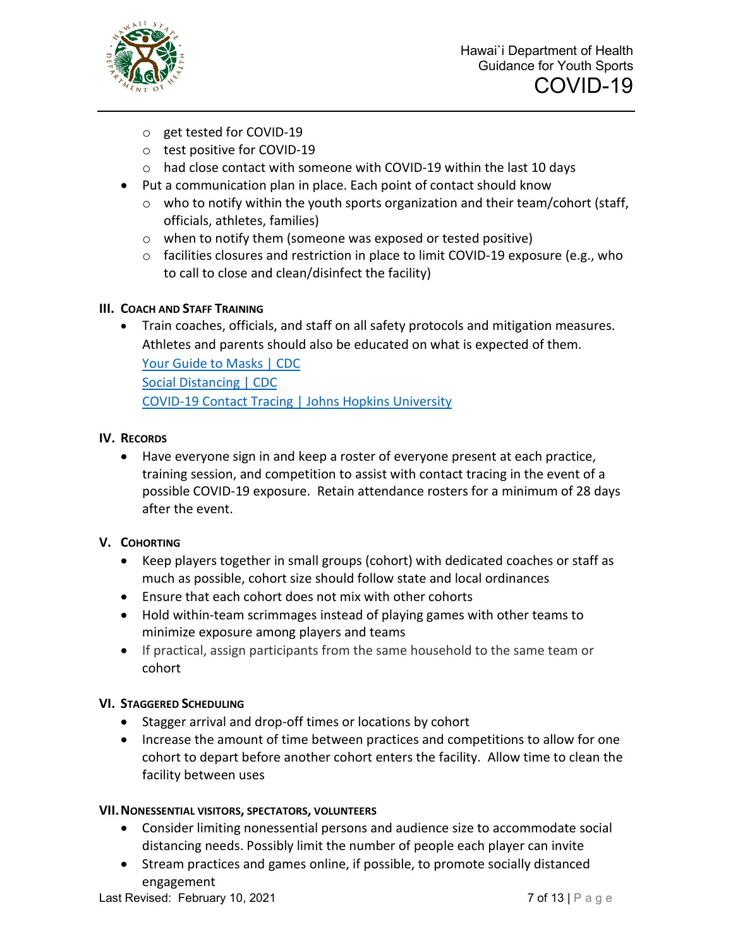

- o get tested for COVID-19
- o test positive for COVID-19
- o had close contact with someone with COVID-19 within the last 10 days
- Put a communication plan in place. Each point of contact should know
	- $\circ$  who to notify within the youth sports organization and their team/cohort (staff, officials, athletes, families)
	- o when to notify them (someone was exposed or tested positive)
	- o facilities closures and restriction in place to limit COVID-19 exposure (e.g., who to call to close and clean/disinfect the facility)

## **III. COACH AND STAFF TRAINING**

• Train coaches, officials, and staff on all safety protocols and mitigation measures. Athletes and parents should also be educated on what is expected of them. [Your Guide to Masks | CDC](https://www.cdc.gov/coronavirus/2019-ncov/prevent-getting-sick/about-face-coverings.html) [Social Distancing | CDC](https://www.cdc.gov/coronavirus/2019-ncov/prevent-getting-sick/social-distancing.html) [COVID-19 Contact Tracing |](https://www.coursera.org/learn/covid-19-contact-tracing?edocomorp=covid-19-contact-tracing) Johns Hopkins University

## **IV. RECORDS**

• Have everyone sign in and keep a roster of everyone present at each practice, training session, and competition to assist with contact tracing in the event of a possible COVID-19 exposure. Retain attendance rosters for a minimum of 28 days after the event.

## **V. COHORTING**

- Keep players together in small groups (cohort) with dedicated coaches or staff as much as possible, cohort size should follow state and local ordinances
- Ensure that each cohort does not mix with other cohorts
- Hold within-team scrimmages instead of playing games with other teams to minimize exposure among players and teams
- If practical, assign participants from the same household to the same team or cohort

## **VI. STAGGERED SCHEDULING**

- Stagger arrival and drop-off times or locations by cohort
- Increase the amount of time between practices and competitions to allow for one cohort to depart before another cohort enters the facility. Allow time to clean the facility between uses

## **VII.NONESSENTIAL VISITORS, SPECTATORS, VOLUNTEERS**

- Consider limiting nonessential persons and audience size to accommodate social distancing needs. Possibly limit the number of people each player can invite
- Stream practices and games online, if possible, to promote socially distanced engagement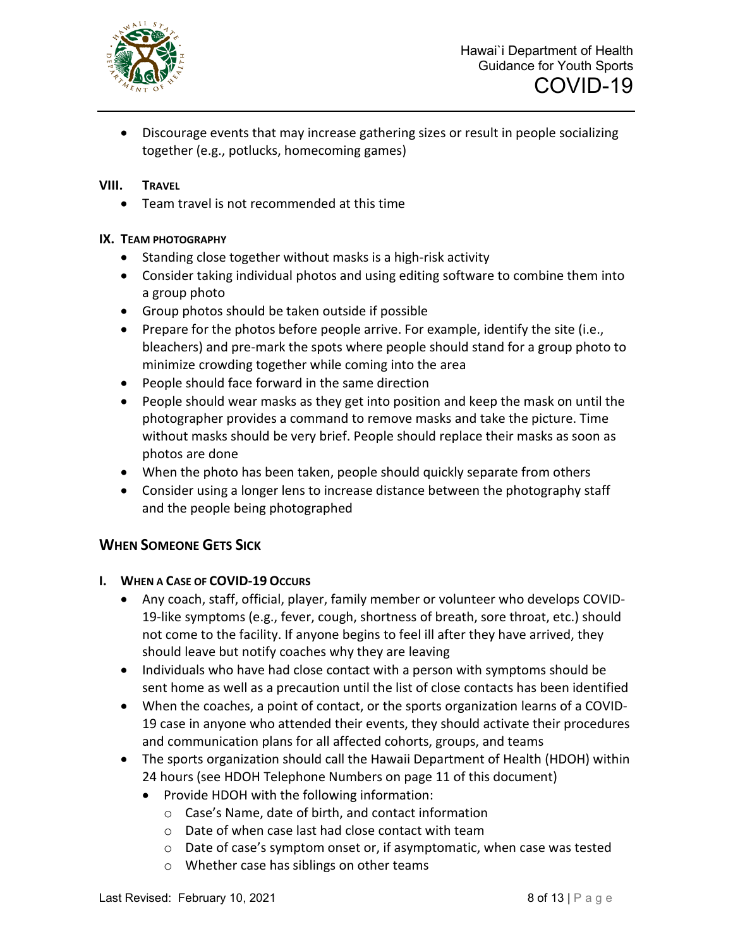

• Discourage events that may increase gathering sizes or result in people socializing together (e.g., potlucks, homecoming games)

#### **VIII. TRAVEL**

• Team travel is not recommended at this time

#### **IX. TEAM PHOTOGRAPHY**

- Standing close together without masks is a high-risk activity
- Consider taking individual photos and using editing software to combine them into a group photo
- Group photos should be taken outside if possible
- Prepare for the photos before people arrive. For example, identify the site (i.e., bleachers) and pre-mark the spots where people should stand for a group photo to minimize crowding together while coming into the area
- People should face forward in the same direction
- People should wear masks as they get into position and keep the mask on until the photographer provides a command to remove masks and take the picture. Time without masks should be very brief. People should replace their masks as soon as photos are done
- When the photo has been taken, people should quickly separate from others
- Consider using a longer lens to increase distance between the photography staff and the people being photographed

## **WHEN SOMEONE GETS SICK**

- **I. WHEN A CASE OF COVID-19 OCCURS**
	- Any coach, staff, official, player, family member or volunteer who develops COVID-19-like symptoms (e.g., fever, cough, shortness of breath, sore throat, etc.) should not come to the facility. If anyone begins to feel ill after they have arrived, they should leave but notify coaches why they are leaving
	- Individuals who have had close contact with a person with symptoms should be sent home as well as a precaution until the list of close contacts has been identified
	- When the coaches, a point of contact, or the sports organization learns of a COVID-19 case in anyone who attended their events, they should activate their procedures and communication plans for all affected cohorts, groups, and teams
	- The sports organization should call the Hawaii Department of Health (HDOH) within 24 hours (see HDOH Telephone Numbers on page 11 of this document)
		- Provide HDOH with the following information:
			- o Case's Name, date of birth, and contact information
			- o Date of when case last had close contact with team
			- o Date of case's symptom onset or, if asymptomatic, when case was tested
			- o Whether case has siblings on other teams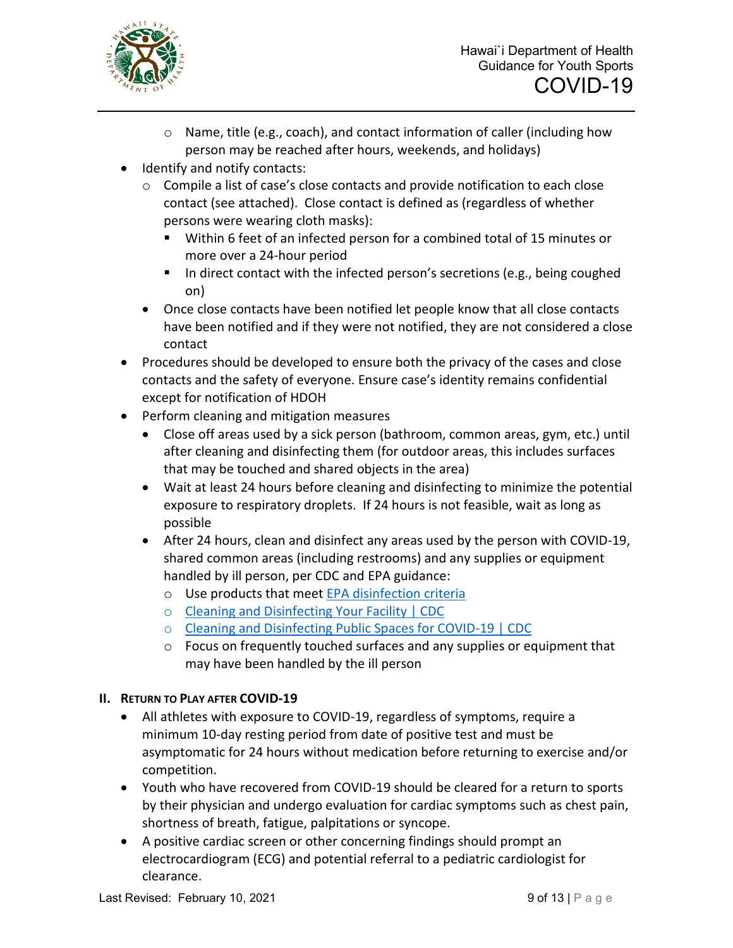

- o Name, title (e.g., coach), and contact information of caller (including how person may be reached after hours, weekends, and holidays)
- Identify and notify contacts:
	- $\circ$  Compile a list of case's close contacts and provide notification to each close contact (see attached). Close contact is defined as (regardless of whether persons were wearing cloth masks):
		- Within 6 feet of an infected person for a combined total of 15 minutes or more over a 24-hour period
		- In direct contact with the infected person's secretions (e.g., being coughed on)
	- Once close contacts have been notified let people know that all close contacts have been notified and if they were not notified, they are not considered a close contact
- Procedures should be developed to ensure both the privacy of the cases and close contacts and the safety of everyone. Ensure case's identity remains confidential except for notification of HDOH
- Perform cleaning and mitigation measures
	- Close off areas used by a sick person (bathroom, common areas, gym, etc.) until after cleaning and disinfecting them (for outdoor areas, this includes surfaces that may be touched and shared objects in the area)
	- Wait at least 24 hours before cleaning and disinfecting to minimize the potential exposure to respiratory droplets. If 24 hours is not feasible, wait as long as possible
	- After 24 hours, clean and disinfect any areas used by the person with COVID-19, shared common areas (including restrooms) and any supplies or equipment handled by ill person, per CDC and EPA guidance:
		- o Use products that meet [EPA disinfection criteria](https://www.epa.gov/pesticide-registration/list-n-disinfectants-coronavirus-covid-19)
		- o [Cleaning and Disinfecting Your Facility | CDC](https://www.cdc.gov/coronavirus/2019-ncov/community/disinfecting-building-facility.html)
		- o [Cleaning and Disinfecting Public Spaces for COVID-19 | CDC](https://www.cdc.gov/coronavirus/2019-ncov/community/clean-disinfect/index.html)
		- o Focus on frequently touched surfaces and any supplies or equipment that may have been handled by the ill person

## **II. RETURN TO PLAY AFTER COVID-19**

- All athletes with exposure to COVID-19, regardless of symptoms, require a minimum 10-day resting period from date of positive test and must be asymptomatic for 24 hours without medication before returning to exercise and/or competition.
- Youth who have recovered from COVID-19 should be cleared for a return to sports by their physician and undergo evaluation for cardiac symptoms such as chest pain, shortness of breath, fatigue, palpitations or syncope.
- A positive cardiac screen or other concerning findings should prompt an electrocardiogram (ECG) and potential referral to a pediatric cardiologist for clearance.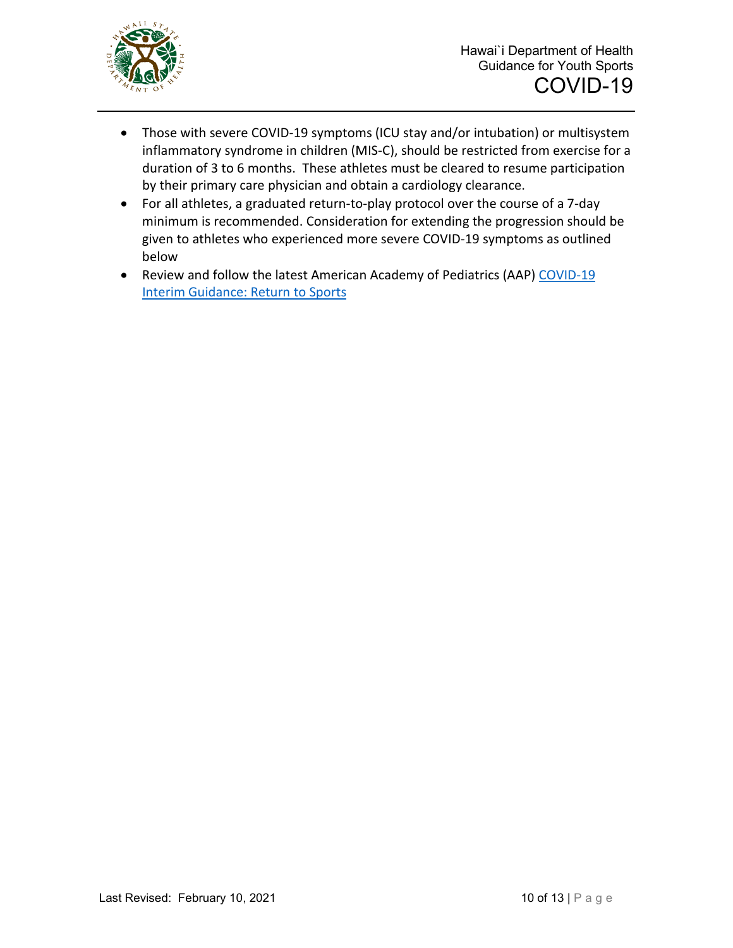

- Those with severe COVID-19 symptoms (ICU stay and/or intubation) or multisystem inflammatory syndrome in children (MIS-C), should be restricted from exercise for a duration of 3 to 6 months. These athletes must be cleared to resume participation by their primary care physician and obtain a cardiology clearance.
- For all athletes, a graduated return-to-play protocol over the course of a 7-day minimum is recommended. Consideration for extending the progression should be given to athletes who experienced more severe COVID-19 symptoms as outlined below
- Review and follow the latest American Academy of Pediatrics (AAP) COVID-19 [Interim Guidance: Return to Sports](https://services.aap.org/en/pages/2019-novel-coronavirus-covid-19-infections/clinical-guidance/covid-19-interim-guidance-return-to-sports/)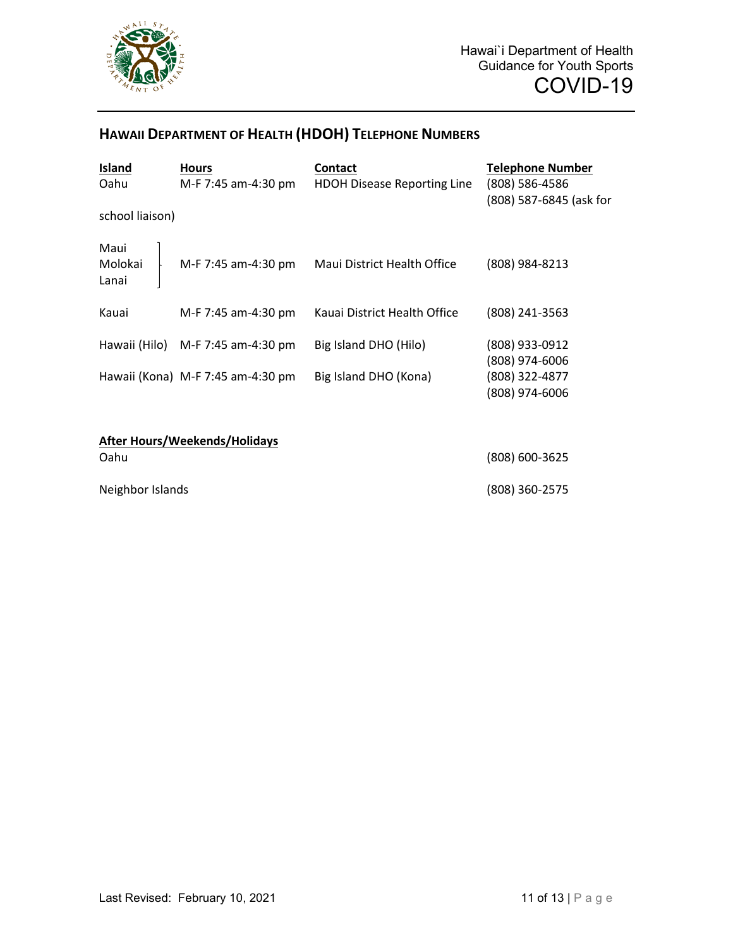

## **HAWAII DEPARTMENT OF HEALTH (HDOH) TELEPHONE NUMBERS**

| Island<br>Oahu                       | <b>Hours</b><br>M-F 7:45 am-4:30 pm | <b>Contact</b><br><b>HDOH Disease Reporting Line</b> | <b>Telephone Number</b><br>(808) 586-4586<br>(808) 587-6845 (ask for |
|--------------------------------------|-------------------------------------|------------------------------------------------------|----------------------------------------------------------------------|
| school liaison)                      |                                     |                                                      |                                                                      |
| Maui<br>Molokai<br>Lanai             | M-F 7:45 am-4:30 pm                 | Maui District Health Office                          | (808) 984-8213                                                       |
| Kauai                                | M-F 7:45 am-4:30 pm                 | Kauai District Health Office                         | (808) 241-3563                                                       |
| Hawaii (Hilo)                        | M-F 7:45 am-4:30 pm                 | Big Island DHO (Hilo)                                | (808) 933-0912<br>(808) 974-6006                                     |
|                                      | Hawaii (Kona) M-F 7:45 am-4:30 pm   | Big Island DHO (Kona)                                | (808) 322-4877<br>(808) 974-6006                                     |
| <b>After Hours/Weekends/Holidays</b> |                                     |                                                      |                                                                      |
| Oahu                                 |                                     |                                                      | (808) 600-3625                                                       |
| Neighbor Islands                     |                                     |                                                      | (808) 360-2575                                                       |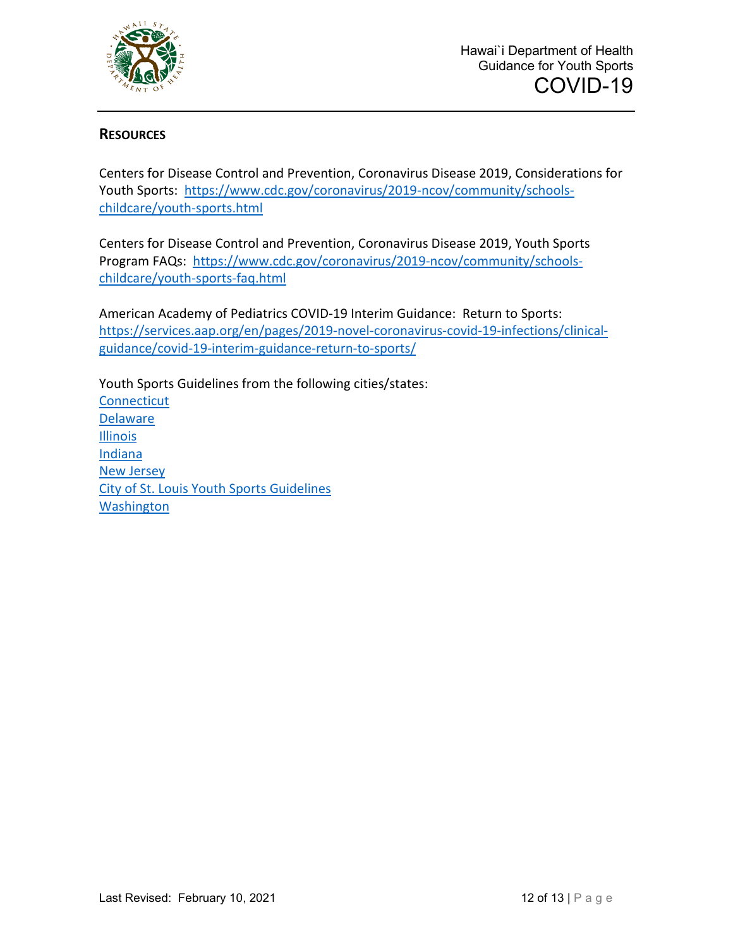

## **RESOURCES**

Centers for Disease Control and Prevention, Coronavirus Disease 2019, Considerations for Youth Sports: [https://www.cdc.gov/coronavirus/2019-ncov/community/schools](https://www.cdc.gov/coronavirus/2019-ncov/community/schools-childcare/youth-sports.html)[childcare/youth-sports.html](https://www.cdc.gov/coronavirus/2019-ncov/community/schools-childcare/youth-sports.html)

Centers for Disease Control and Prevention, Coronavirus Disease 2019, Youth Sports Program FAQs: [https://www.cdc.gov/coronavirus/2019-ncov/community/schools](https://www.cdc.gov/coronavirus/2019-ncov/community/schools-childcare/youth-sports-faq.html)[childcare/youth-sports-faq.html](https://www.cdc.gov/coronavirus/2019-ncov/community/schools-childcare/youth-sports-faq.html)

American Academy of Pediatrics COVID-19 Interim Guidance: Return to Sports: [https://services.aap.org/en/pages/2019-novel-coronavirus-covid-19-infections/clinical](https://services.aap.org/en/pages/2019-novel-coronavirus-covid-19-infections/clinical-guidance/covid-19-interim-guidance-return-to-sports/)[guidance/covid-19-interim-guidance-return-to-sports/](https://services.aap.org/en/pages/2019-novel-coronavirus-covid-19-infections/clinical-guidance/covid-19-interim-guidance-return-to-sports/)

Youth Sports Guidelines from the following cities/states: **[Connecticut](https://portal.ct.gov/DPH/Communications/Guidance/General-Guidance-for-Youth-and--Amateur-Sport-Activities-during-COVID-19-Pandemic)** Delaware [Illinois](https://www.dph.illinois.gov/covid19/community-guidance/sports-safety-guidance) [Indiana](https://www.ihsaa.org/Portals/0/ihsaa/documents/health/COVID-19%20Resource%20Center.pdf) [New Jersey](https://nj.gov/health/cd/documents/topics/NCOV/COVID_GuidanceForSportsActivities.pdf) [City of St. Louis Youth Sports Guidelines](https://www.stlouis-mo.gov/government/departments/health/communicable-disease/covid-19/guidance/phase-one/upload/City-of-St-Louis-Youth-Sports-Guidelines-REVISED-30SEP20.pdf) **[Washington](https://www.governor.wa.gov/sites/default/files/COVID19%20Phase%202%20and%203%20Sporting%20Activities%20Guidance.pdf)**